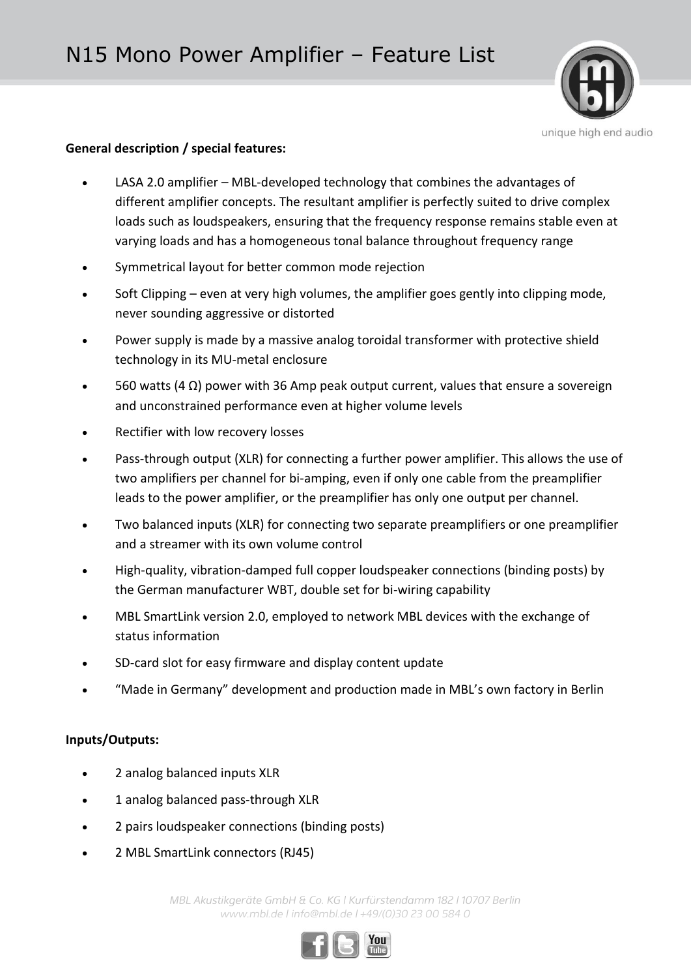

## **General description / special features:**

- LASA 2.0 amplifier MBL-developed technology that combines the advantages of different amplifier concepts. The resultant amplifier is perfectly suited to drive complex loads such as loudspeakers, ensuring that the frequency response remains stable even at varying loads and has a homogeneous tonal balance throughout frequency range
- Symmetrical layout for better common mode rejection
- Soft Clipping even at very high volumes, the amplifier goes gently into clipping mode, never sounding aggressive or distorted
- Power supply is made by a massive analog toroidal transformer with protective shield technology in its MU-metal enclosure
- $\bullet$  560 watts (4 Ω) power with 36 Amp peak output current, values that ensure a sovereign and unconstrained performance even at higher volume levels
- Rectifier with low recovery losses
- Pass-through output (XLR) for connecting a further power amplifier. This allows the use of two amplifiers per channel for bi-amping, even if only one cable from the preamplifier leads to the power amplifier, or the preamplifier has only one output per channel.
- Two balanced inputs (XLR) for connecting two separate preamplifiers or one preamplifier and a streamer with its own volume control
- High-quality, vibration-damped full copper loudspeaker connections (binding posts) by the German manufacturer WBT, double set for bi-wiring capability
- MBL SmartLink version 2.0, employed to network MBL devices with the exchange of status information
- SD-card slot for easy firmware and display content update
- "Made in Germany" development and production made in MBL's own factory in Berlin

# **Inputs/Outputs:**

- 2 analog balanced inputs XLR
- 1 analog balanced pass-through XLR
- 2 pairs loudspeaker connections (binding posts)
- 2 MBL SmartLink connectors (RJ45)

*MBL Akustikgeräte GmbH & Co. KG | Kurfürstendamm 182 | 10707 Berlin www.mbl.de | info@mbl.de | +49/(0)30 23 00 584 0*